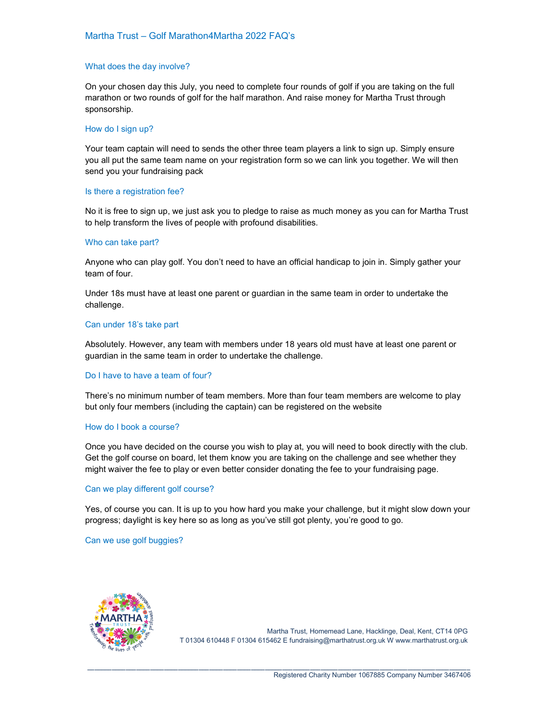# What does the day involve?

On your chosen day this July, you need to complete four rounds of golf if you are taking on the full marathon or two rounds of golf for the half marathon. And raise money for Martha Trust through sponsorship.

#### How do I sign up?

Your team captain will need to sends the other three team players a link to sign up. Simply ensure you all put the same team name on your registration form so we can link you together. We will then send you your fundraising pack

#### Is there a registration fee?

No it is free to sign up, we just ask you to pledge to raise as much money as you can for Martha Trust to help transform the lives of people with profound disabilities.

## Who can take part?

Anyone who can play golf. You don't need to have an official handicap to join in. Simply gather your team of four.

Under 18s must have at least one parent or guardian in the same team in order to undertake the challenge.

#### Can under 18's take part

Absolutely. However, any team with members under 18 years old must have at least one parent or guardian in the same team in order to undertake the challenge.

## Do I have to have a team of four?

There's no minimum number of team members. More than four team members are welcome to play but only four members (including the captain) can be registered on the website

# How do I book a course?

Once you have decided on the course you wish to play at, you will need to book directly with the club. Get the golf course on board, let them know you are taking on the challenge and see whether they might waiver the fee to play or even better consider donating the fee to your fundraising page.

## Can we play different golf course?

Yes, of course you can. It is up to you how hard you make your challenge, but it might slow down your progress; daylight is key here so as long as you've still got plenty, you're good to go.

\_\_\_\_\_\_\_\_\_\_\_\_\_\_\_\_\_\_\_\_\_\_\_\_\_\_\_\_\_\_\_\_\_\_\_\_\_\_\_\_\_\_\_\_\_\_\_\_\_\_\_\_\_\_\_\_\_\_\_\_\_\_\_\_\_\_\_\_\_\_\_\_\_\_\_\_\_\_\_\_\_\_\_\_\_\_\_\_\_\_\_\_\_\_\_\_\_\_\_\_\_\_\_\_\_\_\_\_\_\_

## Can we use golf buggies?



Martha Trust, Homemead Lane, Hacklinge, Deal, Kent, CT14 0PG T 01304 610448 F 01304 615462 E fundraising@marthatrust.org.uk W www.marthatrust.org.uk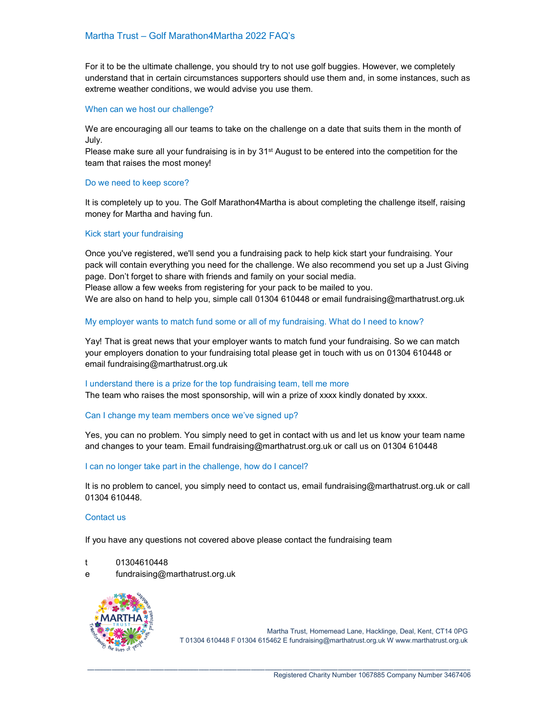For it to be the ultimate challenge, you should try to not use golf buggies. However, we completely understand that in certain circumstances supporters should use them and, in some instances, such as extreme weather conditions, we would advise you use them.

## When can we host our challenge?

We are encouraging all our teams to take on the challenge on a date that suits them in the month of July.

Please make sure all your fundraising is in by  $31<sup>st</sup>$  August to be entered into the competition for the team that raises the most money!

#### Do we need to keep score?

It is completely up to you. The Golf Marathon4Martha is about completing the challenge itself, raising money for Martha and having fun.

#### Kick start your fundraising

Once you've registered, we'll send you a fundraising pack to help kick start your fundraising. Your pack will contain everything you need for the challenge. We also recommend you set up a Just Giving page. Don't forget to share with friends and family on your social media. Please allow a few weeks from registering for your pack to be mailed to you.

We are also on hand to help you, simple call 01304 610448 or email fundraising@marthatrust.org.uk

## My employer wants to match fund some or all of my fundraising. What do I need to know?

Yay! That is great news that your employer wants to match fund your fundraising. So we can match your employers donation to your fundraising total please get in touch with us on 01304 610448 or email fundraising@marthatrust.org.uk

#### I understand there is a prize for the top fundraising team, tell me more

The team who raises the most sponsorship, will win a prize of xxxx kindly donated by xxxx.

## Can I change my team members once we've signed up?

Yes, you can no problem. You simply need to get in contact with us and let us know your team name and changes to your team. Email fundraising@marthatrust.org.uk or call us on 01304 610448

## I can no longer take part in the challenge, how do I cancel?

It is no problem to cancel, you simply need to contact us, email fundraising@marthatrust.org.uk or call 01304 610448.

\_\_\_\_\_\_\_\_\_\_\_\_\_\_\_\_\_\_\_\_\_\_\_\_\_\_\_\_\_\_\_\_\_\_\_\_\_\_\_\_\_\_\_\_\_\_\_\_\_\_\_\_\_\_\_\_\_\_\_\_\_\_\_\_\_\_\_\_\_\_\_\_\_\_\_\_\_\_\_\_\_\_\_\_\_\_\_\_\_\_\_\_\_\_\_\_\_\_\_\_\_\_\_\_\_\_\_\_\_\_

#### Contact us

If you have any questions not covered above please contact the fundraising team

- t 01304610448
- e fundraising@marthatrust.org.uk



Martha Trust, Homemead Lane, Hacklinge, Deal, Kent, CT14 0PG T 01304 610448 F 01304 615462 E fundraising@marthatrust.org.uk W www.marthatrust.org.uk